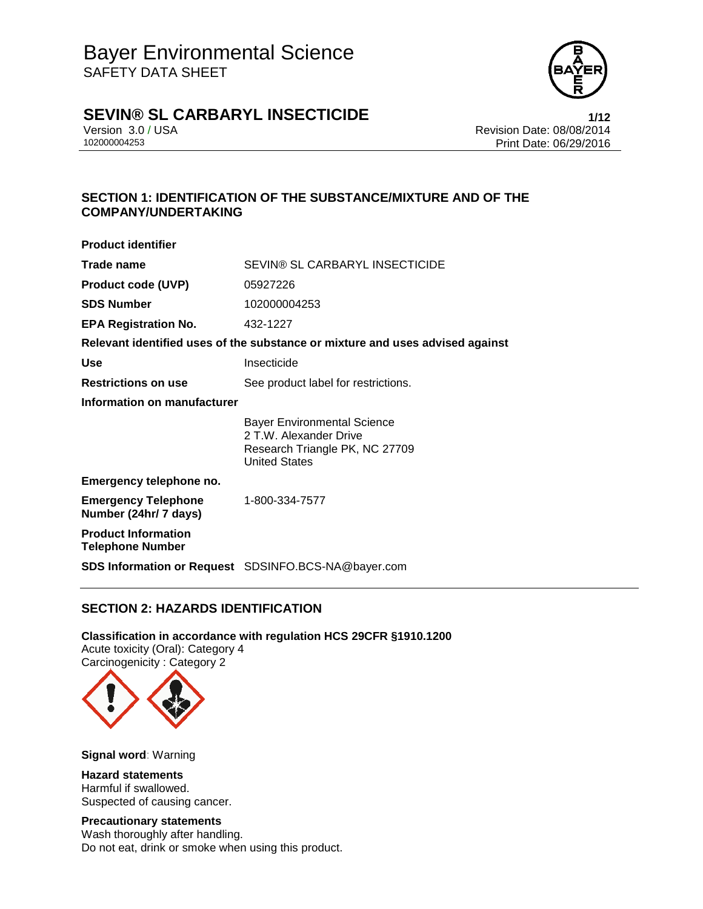

# **SEVIN® SL CARBARYL INSECTICIDE 1/12**

Version 3.0 / USA **Version 3.0 / USA** Revision Date: 08/08/2014<br>102000004253 **Print Date: 06/29/2016** Print Date: 06/29/2016

## **SECTION 1: IDENTIFICATION OF THE SUBSTANCE/MIXTURE AND OF THE COMPANY/UNDERTAKING**

| <b>Product identifier</b>                             |                                                                                                                        |  |
|-------------------------------------------------------|------------------------------------------------------------------------------------------------------------------------|--|
| Trade name                                            | SEVIN® SL CARBARYL INSECTICIDE                                                                                         |  |
| <b>Product code (UVP)</b>                             | 05927226                                                                                                               |  |
| <b>SDS Number</b>                                     | 102000004253                                                                                                           |  |
| <b>EPA Registration No.</b>                           | 432-1227                                                                                                               |  |
|                                                       | Relevant identified uses of the substance or mixture and uses advised against                                          |  |
| Use                                                   | Insecticide                                                                                                            |  |
| <b>Restrictions on use</b>                            | See product label for restrictions.                                                                                    |  |
| Information on manufacturer                           |                                                                                                                        |  |
|                                                       | <b>Bayer Environmental Science</b><br>2 T.W. Alexander Drive<br>Research Triangle PK, NC 27709<br><b>United States</b> |  |
| Emergency telephone no.                               |                                                                                                                        |  |
| <b>Emergency Telephone</b><br>Number (24hr/ 7 days)   | 1-800-334-7577                                                                                                         |  |
| <b>Product Information</b><br><b>Telephone Number</b> |                                                                                                                        |  |
|                                                       | <b>SDS Information or Request</b> SDSINFO.BCS-NA@bayer.com                                                             |  |

# **SECTION 2: HAZARDS IDENTIFICATION**

## **Classification in accordance with regulation HCS 29CFR §1910.1200**

Acute toxicity (Oral): Category 4 Carcinogenicity : Category 2



**Signal word**: Warning

**Hazard statements** Harmful if swallowed. Suspected of causing cancer.

### **Precautionary statements**

Wash thoroughly after handling. Do not eat, drink or smoke when using this product.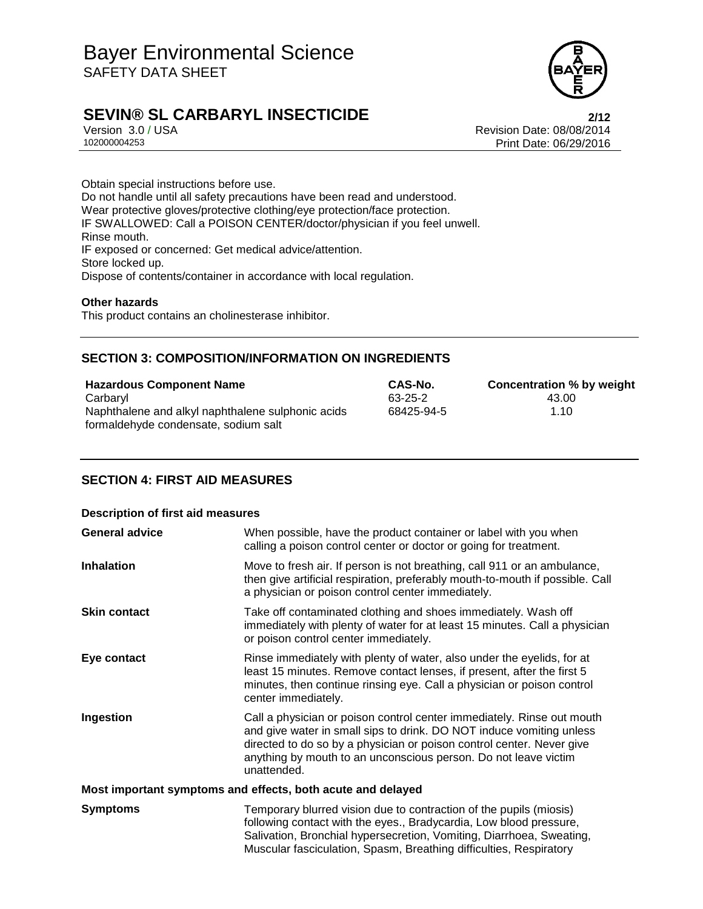

# **SEVIN® SL CARBARYL INSECTICIDE 2/12**

Version 3.0 / USA **Version 3.0 / USA** Revision Date: 08/08/2014<br>102000004253 **Print Date: 06/29/2016** Print Date: 06/29/2016

Obtain special instructions before use. Do not handle until all safety precautions have been read and understood. Wear protective gloves/protective clothing/eye protection/face protection. IF SWALLOWED: Call a POISON CENTER/doctor/physician if you feel unwell. Rinse mouth. IF exposed or concerned: Get medical advice/attention. Store locked up. Dispose of contents/container in accordance with local regulation.

### **Other hazards**

This product contains an cholinesterase inhibitor.

### **SECTION 3: COMPOSITION/INFORMATION ON INGREDIENTS**

| <b>Hazardous Component Name</b>                                                           | CAS-No.    | Concentration % by weight |
|-------------------------------------------------------------------------------------------|------------|---------------------------|
| Carbaryl                                                                                  | 63-25-2    | 43.00                     |
| Naphthalene and alkyl naphthalene sulphonic acids<br>formaldehyde condensate, sodium salt | 68425-94-5 | 1.10                      |

## **SECTION 4: FIRST AID MEASURES**

| <b>Description of first aid measures</b>                    |                                                                                                                                                                                                                                                                                                           |  |
|-------------------------------------------------------------|-----------------------------------------------------------------------------------------------------------------------------------------------------------------------------------------------------------------------------------------------------------------------------------------------------------|--|
| <b>General advice</b>                                       | When possible, have the product container or label with you when<br>calling a poison control center or doctor or going for treatment.                                                                                                                                                                     |  |
| <b>Inhalation</b>                                           | Move to fresh air. If person is not breathing, call 911 or an ambulance,<br>then give artificial respiration, preferably mouth-to-mouth if possible. Call<br>a physician or poison control center immediately.                                                                                            |  |
| <b>Skin contact</b>                                         | Take off contaminated clothing and shoes immediately. Wash off<br>immediately with plenty of water for at least 15 minutes. Call a physician<br>or poison control center immediately.                                                                                                                     |  |
| Eye contact                                                 | Rinse immediately with plenty of water, also under the eyelids, for at<br>least 15 minutes. Remove contact lenses, if present, after the first 5<br>minutes, then continue rinsing eye. Call a physician or poison control<br>center immediately.                                                         |  |
| Ingestion                                                   | Call a physician or poison control center immediately. Rinse out mouth<br>and give water in small sips to drink. DO NOT induce vomiting unless<br>directed to do so by a physician or poison control center. Never give<br>anything by mouth to an unconscious person. Do not leave victim<br>unattended. |  |
| Most important symptoms and effects, both acute and delayed |                                                                                                                                                                                                                                                                                                           |  |
| <b>Symptoms</b>                                             | Temporary blurred vision due to contraction of the pupils (miosis)<br>following contact with the eyes., Bradycardia, Low blood pressure,<br>Salivation, Bronchial hypersecretion, Vomiting, Diarrhoea, Sweating,<br>Muscular fasciculation, Spasm, Breathing difficulties, Respiratory                    |  |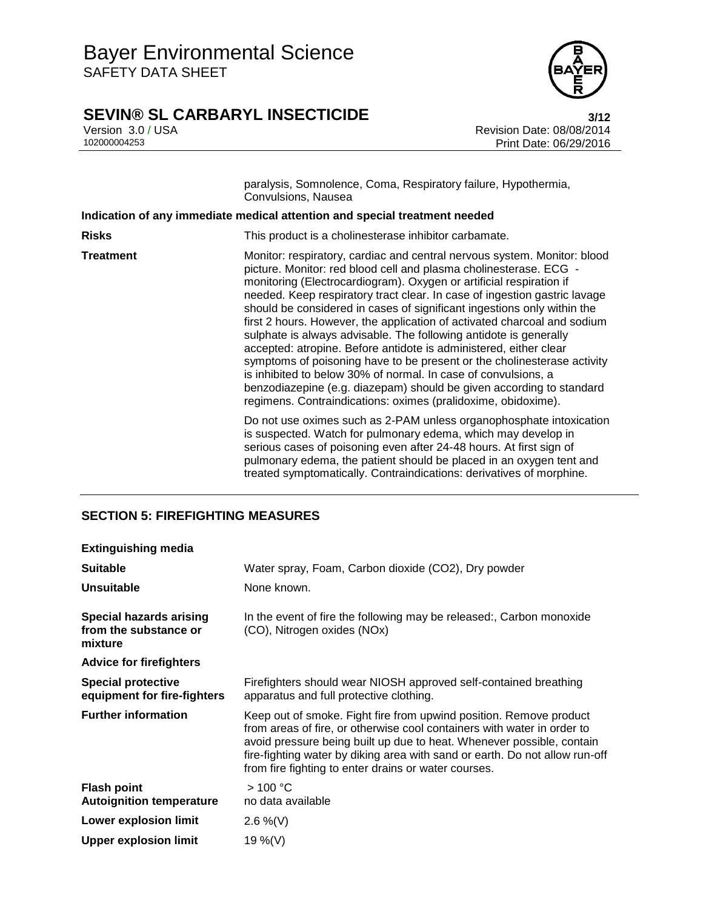

# **SEVIN® SL CARBARYL INSECTICIDE**<br>Version 3.0 / USA **122**<br>Revision Date: 08/08/2014

Version 3.0 / USA **Version 3.0 / USA** Revision Date: 08/08/2014<br>102000004253 **Print Date: 06/29/2016** Print Date: 06/29/2016

| paralysis, Somnolence, Coma, Respiratory failure, Hypothermia, |
|----------------------------------------------------------------|
| Convulsions, Nausea                                            |

|                  | Indication of any immediate medical attention and special treatment needed                                                                                                                                                                                                                                                                                                                                                                                                                                                                                                                                                                                                                                                                                                                                                                                                               |
|------------------|------------------------------------------------------------------------------------------------------------------------------------------------------------------------------------------------------------------------------------------------------------------------------------------------------------------------------------------------------------------------------------------------------------------------------------------------------------------------------------------------------------------------------------------------------------------------------------------------------------------------------------------------------------------------------------------------------------------------------------------------------------------------------------------------------------------------------------------------------------------------------------------|
| <b>Risks</b>     | This product is a cholinesterase inhibitor carbamate.                                                                                                                                                                                                                                                                                                                                                                                                                                                                                                                                                                                                                                                                                                                                                                                                                                    |
| <b>Treatment</b> | Monitor: respiratory, cardiac and central nervous system. Monitor: blood<br>picture. Monitor: red blood cell and plasma cholinesterase. ECG -<br>monitoring (Electrocardiogram). Oxygen or artificial respiration if<br>needed. Keep respiratory tract clear. In case of ingestion gastric lavage<br>should be considered in cases of significant ingestions only within the<br>first 2 hours. However, the application of activated charcoal and sodium<br>sulphate is always advisable. The following antidote is generally<br>accepted: atropine. Before antidote is administered, either clear<br>symptoms of poisoning have to be present or the cholinesterase activity<br>is inhibited to below 30% of normal. In case of convulsions, a<br>benzodiazepine (e.g. diazepam) should be given according to standard<br>regimens. Contraindications: oximes (pralidoxime, obidoxime). |
|                  | Do not use oximes such as 2-PAM unless organophosphate intoxication<br>is suspected. Watch for pulmonary edema, which may develop in<br>serious cases of poisoning even after 24-48 hours. At first sign of<br>pulmonary edema, the patient should be placed in an oxygen tent and<br>treated symptomatically. Contraindications: derivatives of morphine.                                                                                                                                                                                                                                                                                                                                                                                                                                                                                                                               |

# **SECTION 5: FIREFIGHTING MEASURES**

| <b>Extinguishing media</b>                                         |                                                                                                                                                                                                                                                                                                                                                               |
|--------------------------------------------------------------------|---------------------------------------------------------------------------------------------------------------------------------------------------------------------------------------------------------------------------------------------------------------------------------------------------------------------------------------------------------------|
| <b>Suitable</b>                                                    | Water spray, Foam, Carbon dioxide (CO2), Dry powder                                                                                                                                                                                                                                                                                                           |
| <b>Unsuitable</b>                                                  | None known.                                                                                                                                                                                                                                                                                                                                                   |
| <b>Special hazards arising</b><br>from the substance or<br>mixture | In the event of fire the following may be released:, Carbon monoxide<br>(CO), Nitrogen oxides (NOx)                                                                                                                                                                                                                                                           |
| <b>Advice for firefighters</b>                                     |                                                                                                                                                                                                                                                                                                                                                               |
| <b>Special protective</b><br>equipment for fire-fighters           | Firefighters should wear NIOSH approved self-contained breathing<br>apparatus and full protective clothing.                                                                                                                                                                                                                                                   |
| <b>Further information</b>                                         | Keep out of smoke. Fight fire from upwind position. Remove product<br>from areas of fire, or otherwise cool containers with water in order to<br>avoid pressure being built up due to heat. Whenever possible, contain<br>fire-fighting water by diking area with sand or earth. Do not allow run-off<br>from fire fighting to enter drains or water courses. |
| <b>Flash point</b><br><b>Autoignition temperature</b>              | >100 °C<br>no data available                                                                                                                                                                                                                                                                                                                                  |
| <b>Lower explosion limit</b>                                       | 2.6 %(V)                                                                                                                                                                                                                                                                                                                                                      |
| <b>Upper explosion limit</b>                                       | 19 %(V)                                                                                                                                                                                                                                                                                                                                                       |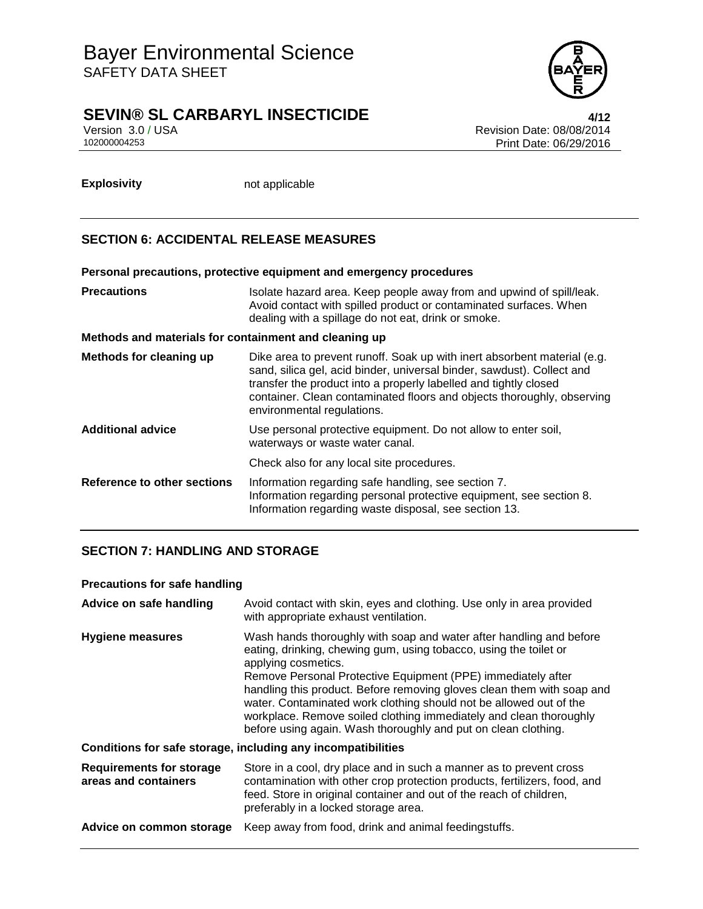

# **SEVIN® SL CARBARYL INSECTICIDE 4/12**

Version 3.0 / USA Revision Date: 08/08/2014<br>102000004253 Print Date: 06/29/2016 Print Date: 06/29/2016

**Explosivity** not applicable

# **SECTION 6: ACCIDENTAL RELEASE MEASURES**

# **Personal precautions, protective equipment and emergency procedures Precautions ISOLATE:** Isolate hazard area. Keep people away from and upwind of spill/leak. Avoid contact with spilled product or contaminated surfaces. When dealing with a spillage do not eat, drink or smoke. **Methods and materials for containment and cleaning up Methods for cleaning up** Dike area to prevent runoff. Soak up with inert absorbent material (e.g. sand, silica gel, acid binder, universal binder, sawdust). Collect and transfer the product into a properly labelled and tightly closed container. Clean contaminated floors and objects thoroughly, observing environmental regulations. **Additional advice** Use personal protective equipment. Do not allow to enter soil, waterways or waste water canal. Check also for any local site procedures. **Reference to other sections** Information regarding safe handling, see section 7. Information regarding personal protective equipment, see section 8. Information regarding waste disposal, see section 13.

# **SECTION 7: HANDLING AND STORAGE**

### **Precautions for safe handling**

| Advice on safe handling                                      | Avoid contact with skin, eyes and clothing. Use only in area provided<br>with appropriate exhaust ventilation.                                                                                                                                                                                                                                                                                                                                                                                                          |  |  |
|--------------------------------------------------------------|-------------------------------------------------------------------------------------------------------------------------------------------------------------------------------------------------------------------------------------------------------------------------------------------------------------------------------------------------------------------------------------------------------------------------------------------------------------------------------------------------------------------------|--|--|
| <b>Hygiene measures</b>                                      | Wash hands thoroughly with soap and water after handling and before<br>eating, drinking, chewing gum, using tobacco, using the toilet or<br>applying cosmetics.<br>Remove Personal Protective Equipment (PPE) immediately after<br>handling this product. Before removing gloves clean them with soap and<br>water. Contaminated work clothing should not be allowed out of the<br>workplace. Remove soiled clothing immediately and clean thoroughly<br>before using again. Wash thoroughly and put on clean clothing. |  |  |
| Conditions for safe storage, including any incompatibilities |                                                                                                                                                                                                                                                                                                                                                                                                                                                                                                                         |  |  |
| <b>Requirements for storage</b><br>areas and containers      | Store in a cool, dry place and in such a manner as to prevent cross<br>contamination with other crop protection products, fertilizers, food, and<br>feed. Store in original container and out of the reach of children,<br>preferably in a locked storage area.                                                                                                                                                                                                                                                         |  |  |
| Advice on common storage                                     | Keep away from food, drink and animal feedingstuffs.                                                                                                                                                                                                                                                                                                                                                                                                                                                                    |  |  |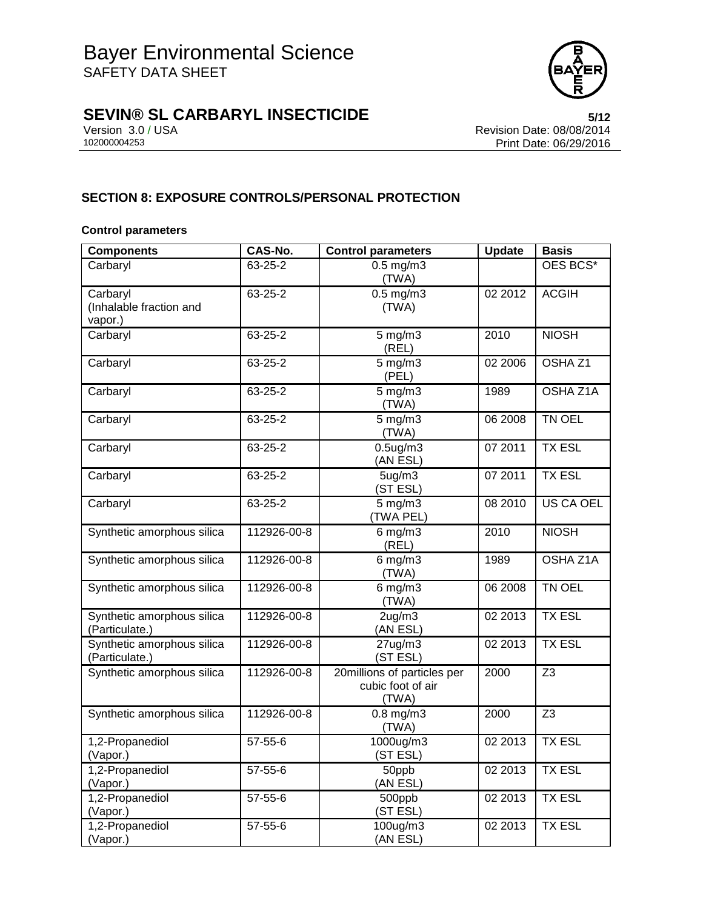

# **SEVIN® SL CARBARYL INSECTICIDE**<br>Version 3.0/USA<br>Revision Date: 08/08/2014

Version 3.0 / USA **Version 3.0 / USA** Revision Date: 08/08/2014<br>102000004253 **Print Date: 06/29/2016** Print Date: 06/29/2016

## **SECTION 8: EXPOSURE CONTROLS/PERSONAL PROTECTION**

### **Control parameters**

| <b>Components</b>                              | CAS-No.     | <b>Control parameters</b>                                 | <b>Update</b> | <b>Basis</b>       |
|------------------------------------------------|-------------|-----------------------------------------------------------|---------------|--------------------|
| Carbaryl                                       | 63-25-2     | $0.5$ mg/m $3$<br>(TWA)                                   |               | OES BCS*           |
| Carbaryl<br>(Inhalable fraction and<br>vapor.) | 63-25-2     | $0.5$ mg/m $3$<br>(TWA)                                   | 02 2012       | <b>ACGIH</b>       |
| Carbaryl                                       | 63-25-2     | $5$ mg/m $3$<br>(REL)                                     | 2010          | <b>NIOSH</b>       |
| Carbaryl                                       | 63-25-2     | $5$ mg/m $3$<br>(PEL)                                     | 02 2006       | OSHA <sub>Z1</sub> |
| Carbaryl                                       | 63-25-2     | $5$ mg/m $3$<br>(TWA)                                     | 1989          | OSHA Z1A           |
| Carbaryl                                       | 63-25-2     | $5$ mg/m $3$<br>(TWA)                                     | 06 2008       | TN OEL             |
| Carbaryl                                       | 63-25-2     | $0.5$ ug/m $3$<br>(AN ESL)                                | 07 2011       | <b>TX ESL</b>      |
| Carbaryl                                       | 63-25-2     | 5ug/m3<br>(ST ESL)                                        | 07 2011       | <b>TX ESL</b>      |
| Carbaryl                                       | 63-25-2     | $5$ mg/m $3$<br>(TWA PEL)                                 | 08 2010       | US CA OEL          |
| Synthetic amorphous silica                     | 112926-00-8 | $6$ mg/m $3$<br>(REL)                                     | 2010          | <b>NIOSH</b>       |
| Synthetic amorphous silica                     | 112926-00-8 | $6$ mg/m $3$<br>(TWA)                                     | 1989          | OSHA Z1A           |
| Synthetic amorphous silica                     | 112926-00-8 | $6$ mg/m $3$<br>(TWA)                                     | 06 2008       | TN OEL             |
| Synthetic amorphous silica<br>(Particulate.)   | 112926-00-8 | $2$ ug/m $3$<br>(AN ESL)                                  | 02 2013       | <b>TX ESL</b>      |
| Synthetic amorphous silica<br>(Particulate.)   | 112926-00-8 | $27$ ug/m $3$<br>(ST ESL)                                 | 02 2013       | <b>TX ESL</b>      |
| Synthetic amorphous silica                     | 112926-00-8 | 20millions of particles per<br>cubic foot of air<br>(TWA) | 2000          | Z <sub>3</sub>     |
| Synthetic amorphous silica                     | 112926-00-8 | $0.8$ mg/m $3$<br>(TWA)                                   | 2000          | Z <sub>3</sub>     |
| 1,2-Propanediol<br>(Vapor.)                    | 57-55-6     | 1000ug/m3<br>(ST ESL)                                     | 02 2013       | <b>TX ESL</b>      |
| 1,2-Propanediol<br>(Vapor.)                    | 57-55-6     | 50ppb<br>(AN ESL)                                         | 02 2013       | <b>TX ESL</b>      |
| 1,2-Propanediol<br>(Vapor.)                    | 57-55-6     | 500ppb<br>(ST ESL)                                        | 02 2013       | <b>TX ESL</b>      |
| 1,2-Propanediol<br>(Vapor.)                    | 57-55-6     | 100ug/m3<br>(AN ESL)                                      | 02 2013       | <b>TX ESL</b>      |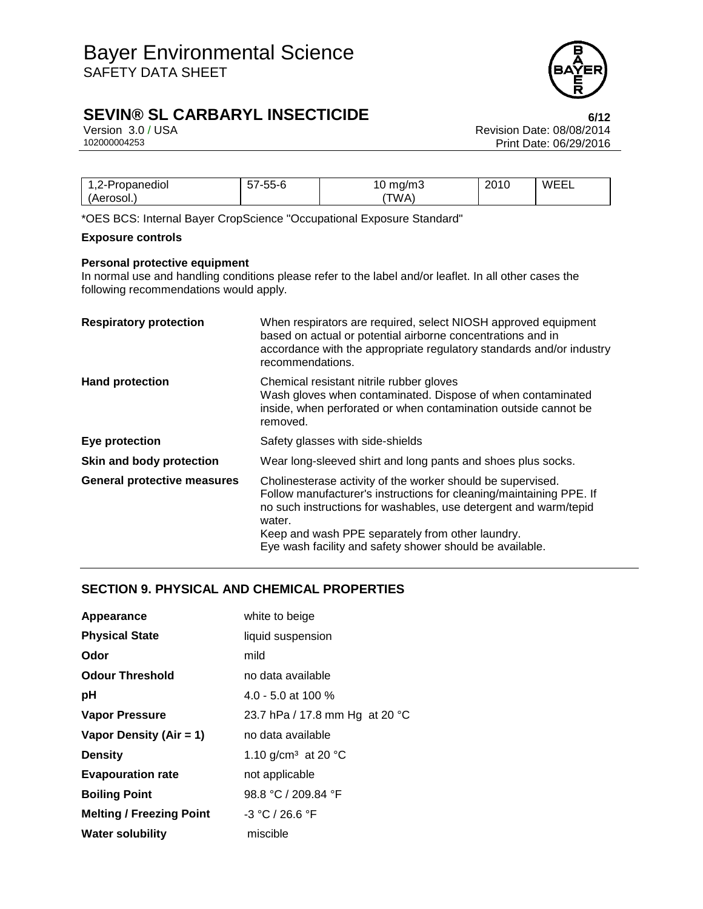

# **SEVIN® SL CARBARYL INSECTICIDE 6/12**

Version 3.0 / USA Revision Date: 08/08/2014<br>102000004253 Print Date: 06/29/2016 Print Date: 06/29/2016

| 2-Propanediol<br>$-L^-1$ | $- - - - -$<br>-55-6<br>ີ | ma/m3<br><b>U</b> | 2010 | <b>WEEI</b><br>-⊢-∟ |
|--------------------------|---------------------------|-------------------|------|---------------------|
| 'Aerosol                 |                           | TWA,              |      |                     |

\*OES BCS: Internal Bayer CropScience "Occupational Exposure Standard"

### **Exposure controls**

### **Personal protective equipment**

In normal use and handling conditions please refer to the label and/or leaflet. In all other cases the following recommendations would apply.

| <b>Respiratory protection</b>      | When respirators are required, select NIOSH approved equipment<br>based on actual or potential airborne concentrations and in<br>accordance with the appropriate regulatory standards and/or industry<br>recommendations.                                                                                                        |
|------------------------------------|----------------------------------------------------------------------------------------------------------------------------------------------------------------------------------------------------------------------------------------------------------------------------------------------------------------------------------|
| <b>Hand protection</b>             | Chemical resistant nitrile rubber gloves<br>Wash gloves when contaminated. Dispose of when contaminated<br>inside, when perforated or when contamination outside cannot be<br>removed.                                                                                                                                           |
| Eye protection                     | Safety glasses with side-shields                                                                                                                                                                                                                                                                                                 |
| Skin and body protection           | Wear long-sleeved shirt and long pants and shoes plus socks.                                                                                                                                                                                                                                                                     |
| <b>General protective measures</b> | Cholinesterase activity of the worker should be supervised.<br>Follow manufacturer's instructions for cleaning/maintaining PPE. If<br>no such instructions for washables, use detergent and warm/tepid<br>water.<br>Keep and wash PPE separately from other laundry.<br>Eye wash facility and safety shower should be available. |

## **SECTION 9. PHYSICAL AND CHEMICAL PROPERTIES**

| Appearance                      | white to beige                            |
|---------------------------------|-------------------------------------------|
| <b>Physical State</b>           | liquid suspension                         |
| Odor                            | mild                                      |
| <b>Odour Threshold</b>          | no data available                         |
| рH                              | 4.0 - 5.0 at 100 $%$                      |
| <b>Vapor Pressure</b>           | 23.7 hPa / 17.8 mm Hg at 20 °C            |
| Vapor Density (Air = 1)         | no data available                         |
| <b>Density</b>                  | 1.10 g/cm <sup>3</sup> at 20 $^{\circ}$ C |
| <b>Evapouration rate</b>        | not applicable                            |
| <b>Boiling Point</b>            | 98.8 °C / 209.84 °F                       |
| <b>Melting / Freezing Point</b> | $-3 °C / 26.6 °F$                         |
| <b>Water solubility</b>         | miscible                                  |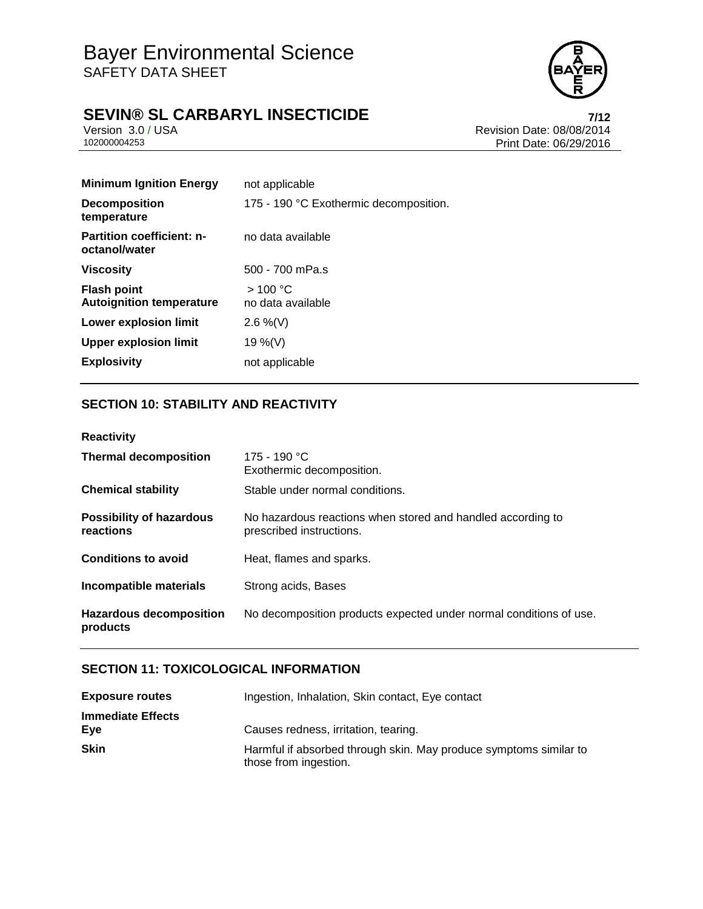

# **SEVIN® SL CARBARYL INSECTICIDE**<br>Version 3.0/USA **Presigned Accord 2.0/USA**

Version 3.0 / USA Revision Date: 08/08/2014<br>102000004253 Print Date: 06/29/2016 Print Date: 06/29/2016

| not applicable                         |
|----------------------------------------|
| 175 - 190 °C Exothermic decomposition. |
| no data available                      |
| 500 - 700 mPa.s                        |
| >100 °C<br>no data available           |
| 2.6 %(V)                               |
| 19 %(V)                                |
| not applicable                         |
|                                        |

## **SECTION 10: STABILITY AND REACTIVITY**

| Reactivity |  |  |
|------------|--|--|
|            |  |  |

| <b>Thermal decomposition</b>                 | 175 - 190 °C<br>Exothermic decomposition.                                               |
|----------------------------------------------|-----------------------------------------------------------------------------------------|
| <b>Chemical stability</b>                    | Stable under normal conditions.                                                         |
| <b>Possibility of hazardous</b><br>reactions | No hazardous reactions when stored and handled according to<br>prescribed instructions. |
| <b>Conditions to avoid</b>                   | Heat, flames and sparks.                                                                |
| Incompatible materials                       | Strong acids, Bases                                                                     |
| Hazardous decomposition<br>products          | No decomposition products expected under normal conditions of use.                      |

## **SECTION 11: TOXICOLOGICAL INFORMATION**

| <b>Exposure routes</b>          | Ingestion, Inhalation, Skin contact, Eye contact                                           |
|---------------------------------|--------------------------------------------------------------------------------------------|
| <b>Immediate Effects</b><br>Eve | Causes redness, irritation, tearing.                                                       |
| <b>Skin</b>                     | Harmful if absorbed through skin. May produce symptoms similar to<br>those from ingestion. |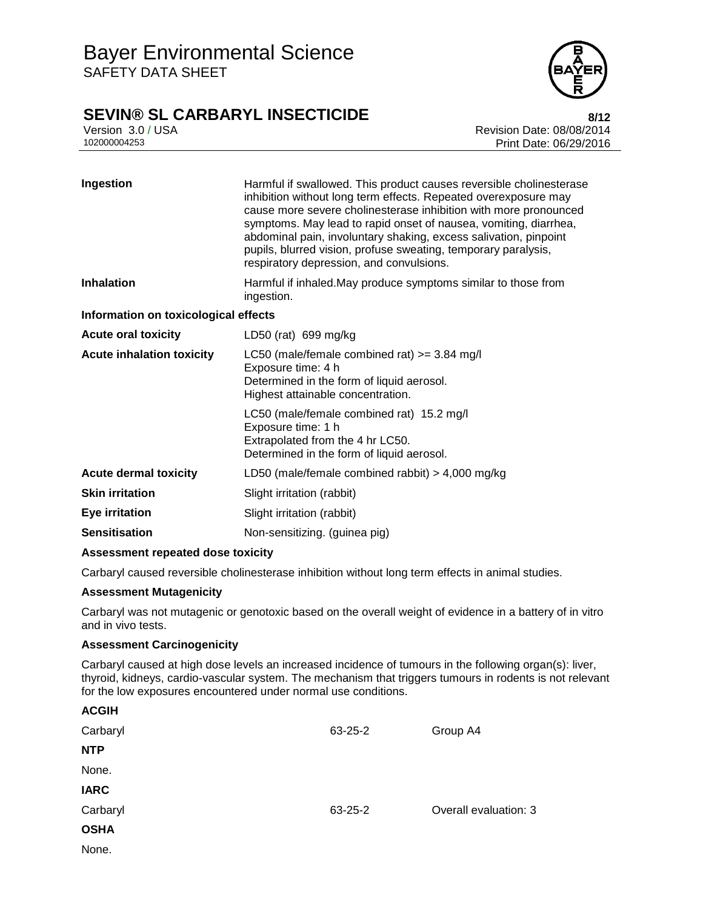# **SEVIN® SL CARBARYL INSECTICIDE 8/12**



Version 3.0 / USA Revision Date: 08/08/2014<br>102000004253 Print Date: 08/08/2014 Print Date: 06/29/2016

| Ingestion                            | Harmful if swallowed. This product causes reversible cholinesterase<br>inhibition without long term effects. Repeated overexposure may<br>cause more severe cholinesterase inhibition with more pronounced<br>symptoms. May lead to rapid onset of nausea, vomiting, diarrhea,<br>abdominal pain, involuntary shaking, excess salivation, pinpoint<br>pupils, blurred vision, profuse sweating, temporary paralysis,<br>respiratory depression, and convulsions. |  |  |
|--------------------------------------|------------------------------------------------------------------------------------------------------------------------------------------------------------------------------------------------------------------------------------------------------------------------------------------------------------------------------------------------------------------------------------------------------------------------------------------------------------------|--|--|
| <b>Inhalation</b>                    | Harmful if inhaled. May produce symptoms similar to those from<br>ingestion.                                                                                                                                                                                                                                                                                                                                                                                     |  |  |
| Information on toxicological effects |                                                                                                                                                                                                                                                                                                                                                                                                                                                                  |  |  |
| <b>Acute oral toxicity</b>           | LD50 (rat) 699 mg/kg                                                                                                                                                                                                                                                                                                                                                                                                                                             |  |  |
| <b>Acute inhalation toxicity</b>     | LC50 (male/female combined rat) $>=$ 3.84 mg/l<br>Exposure time: 4 h<br>Determined in the form of liquid aerosol.<br>Highest attainable concentration.                                                                                                                                                                                                                                                                                                           |  |  |
|                                      | LC50 (male/female combined rat) 15.2 mg/l<br>Exposure time: 1 h<br>Extrapolated from the 4 hr LC50.<br>Determined in the form of liquid aerosol.                                                                                                                                                                                                                                                                                                                 |  |  |
| <b>Acute dermal toxicity</b>         | LD50 (male/female combined rabbit) $>$ 4,000 mg/kg                                                                                                                                                                                                                                                                                                                                                                                                               |  |  |
| <b>Skin irritation</b>               | Slight irritation (rabbit)                                                                                                                                                                                                                                                                                                                                                                                                                                       |  |  |
| Eye irritation                       | Slight irritation (rabbit)                                                                                                                                                                                                                                                                                                                                                                                                                                       |  |  |
| <b>Sensitisation</b>                 | Non-sensitizing. (guinea pig)                                                                                                                                                                                                                                                                                                                                                                                                                                    |  |  |

### **Assessment repeated dose toxicity**

Carbaryl caused reversible cholinesterase inhibition without long term effects in animal studies.

#### **Assessment Mutagenicity**

Carbaryl was not mutagenic or genotoxic based on the overall weight of evidence in a battery of in vitro and in vivo tests.

### **Assessment Carcinogenicity**

Carbaryl caused at high dose levels an increased incidence of tumours in the following organ(s): liver, thyroid, kidneys, cardio-vascular system. The mechanism that triggers tumours in rodents is not relevant for the low exposures encountered under normal use conditions.

| 63-25-2 | Group A4              |
|---------|-----------------------|
|         |                       |
|         |                       |
|         |                       |
| 63-25-2 | Overall evaluation: 3 |
|         |                       |
|         |                       |
|         |                       |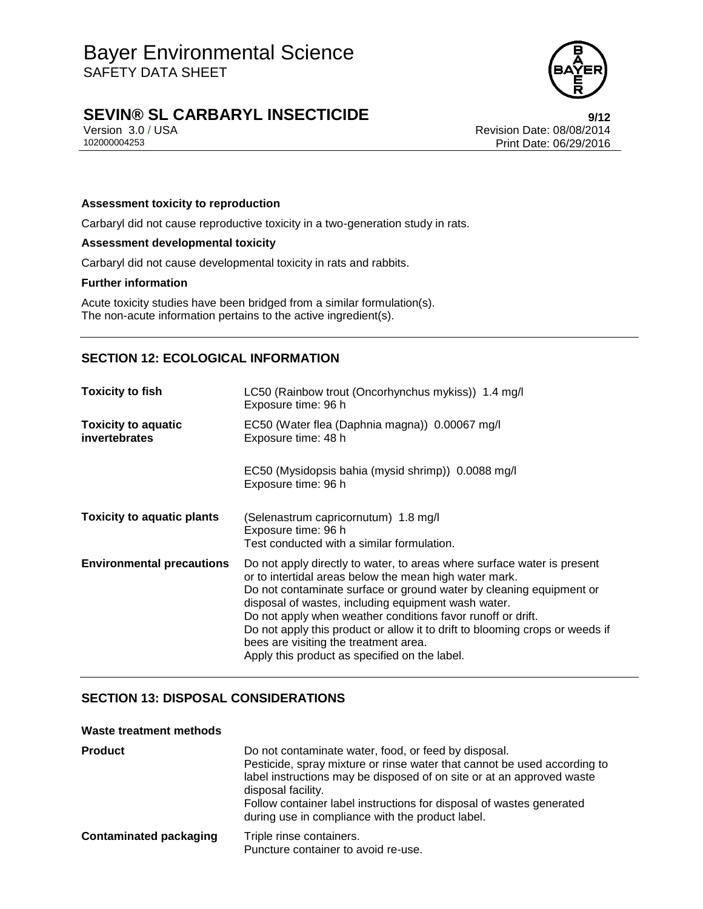

# **SEVIN® SL CARBARYL INSECTICIDE 9/12**

Version 3.0 / USA **Version 3.0 / USA** Revision Date: 08/08/2014<br>102000004253 **Print Date: 06/29/2016** Print Date: 06/29/2016

### **Assessment toxicity to reproduction**

Carbaryl did not cause reproductive toxicity in a two-generation study in rats.

### **Assessment developmental toxicity**

Carbaryl did not cause developmental toxicity in rats and rabbits.

#### **Further information**

Acute toxicity studies have been bridged from a similar formulation(s). The non-acute information pertains to the active ingredient(s).

### **SECTION 12: ECOLOGICAL INFORMATION**

| <b>Toxicity to fish</b>                     | LC50 (Rainbow trout (Oncorhynchus mykiss)) 1.4 mg/l<br>Exposure time: 96 h                                                                                                                                                                                                                                                                                                                                                                                                                               |
|---------------------------------------------|----------------------------------------------------------------------------------------------------------------------------------------------------------------------------------------------------------------------------------------------------------------------------------------------------------------------------------------------------------------------------------------------------------------------------------------------------------------------------------------------------------|
| <b>Toxicity to aquatic</b><br>invertebrates | EC50 (Water flea (Daphnia magna)) 0.00067 mg/l<br>Exposure time: 48 h                                                                                                                                                                                                                                                                                                                                                                                                                                    |
|                                             | EC50 (Mysidopsis bahia (mysid shrimp)) 0.0088 mg/l<br>Exposure time: 96 h                                                                                                                                                                                                                                                                                                                                                                                                                                |
| <b>Toxicity to aquatic plants</b>           | (Selenastrum capricornutum) 1.8 mg/l<br>Exposure time: 96 h<br>Test conducted with a similar formulation.                                                                                                                                                                                                                                                                                                                                                                                                |
| <b>Environmental precautions</b>            | Do not apply directly to water, to areas where surface water is present<br>or to intertidal areas below the mean high water mark.<br>Do not contaminate surface or ground water by cleaning equipment or<br>disposal of wastes, including equipment wash water.<br>Do not apply when weather conditions favor runoff or drift.<br>Do not apply this product or allow it to drift to blooming crops or weeds if<br>bees are visiting the treatment area.<br>Apply this product as specified on the label. |

### **SECTION 13: DISPOSAL CONSIDERATIONS**

#### **Waste treatment methods**

| <b>Product</b>                | Do not contaminate water, food, or feed by disposal.<br>Pesticide, spray mixture or rinse water that cannot be used according to<br>label instructions may be disposed of on site or at an approved waste<br>disposal facility.<br>Follow container label instructions for disposal of wastes generated<br>during use in compliance with the product label. |
|-------------------------------|-------------------------------------------------------------------------------------------------------------------------------------------------------------------------------------------------------------------------------------------------------------------------------------------------------------------------------------------------------------|
| <b>Contaminated packaging</b> | Triple rinse containers.<br>Puncture container to avoid re-use.                                                                                                                                                                                                                                                                                             |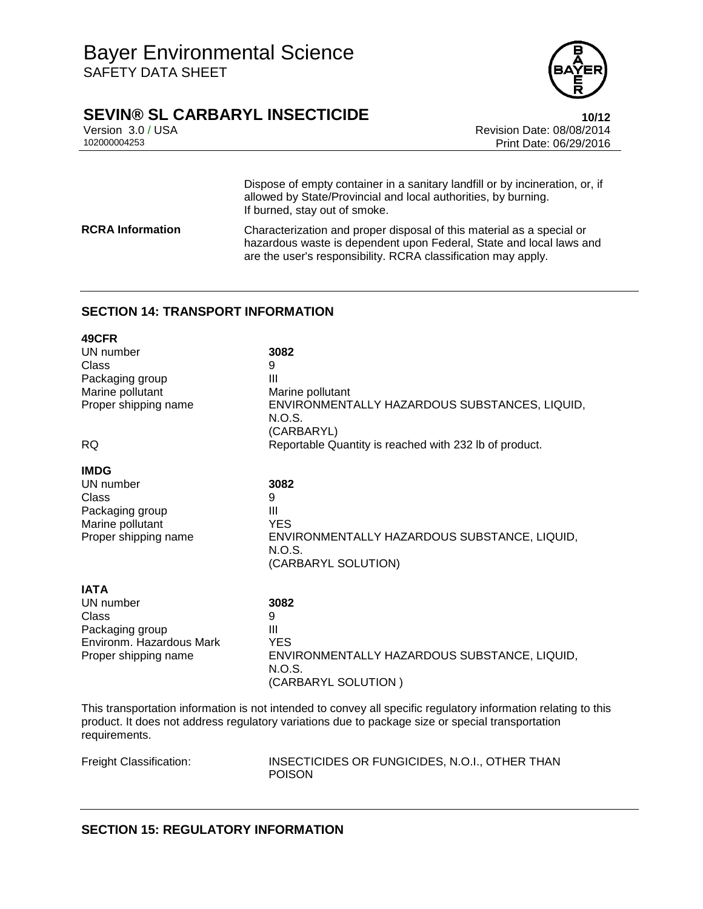

# **SEVIN® SL CARBARYL INSECTICIDE 10/12**

**49CFR**

Version 3.0 / USA Revision Date: 08/08/2014<br>102000004253 Print Date: 06/29/2016 Print Date: 06/29/2016

Dispose of empty container in a sanitary landfill or by incineration, or, if allowed by State/Provincial and local authorities, by burning. If burned, stay out of smoke. **RCRA Information** Characterization and proper disposal of this material as a special or hazardous waste is dependent upon Federal, State and local laws and are the user's responsibility. RCRA classification may apply.

## **SECTION 14: TRANSPORT INFORMATION**

| 49CFR                    |                                                         |
|--------------------------|---------------------------------------------------------|
| UN number                | 3082                                                    |
| Class                    | 9                                                       |
| Packaging group          | $\mathbf{III}$                                          |
| Marine pollutant         | Marine pollutant                                        |
| Proper shipping name     | ENVIRONMENTALLY HAZARDOUS SUBSTANCES, LIQUID,<br>N.O.S. |
|                          | (CARBARYL)                                              |
| <b>RQ</b>                | Reportable Quantity is reached with 232 lb of product.  |
| <b>IMDG</b>              |                                                         |
| UN number                | 3082                                                    |
| Class                    | 9                                                       |
| Packaging group          | Ш                                                       |
| Marine pollutant         | <b>YES</b>                                              |
| Proper shipping name     | ENVIRONMENTALLY HAZARDOUS SUBSTANCE, LIQUID,            |
|                          | N.O.S.                                                  |
|                          | (CARBARYL SOLUTION)                                     |
| <b>IATA</b>              |                                                         |
| UN number                | 3082                                                    |
| Class                    | 9                                                       |
| Packaging group          | Ш                                                       |
| Environm. Hazardous Mark | <b>YES</b>                                              |
| Proper shipping name     | ENVIRONMENTALLY HAZARDOUS SUBSTANCE, LIQUID,            |
|                          | N.O.S.<br>(CARBARYL SOLUTION)                           |
|                          |                                                         |
|                          |                                                         |

This transportation information is not intended to convey all specific regulatory information relating to this product. It does not address regulatory variations due to package size or special transportation requirements.

Freight Classification: INSECTICIDES OR FUNGICIDES, N.O.I., OTHER THAN POISON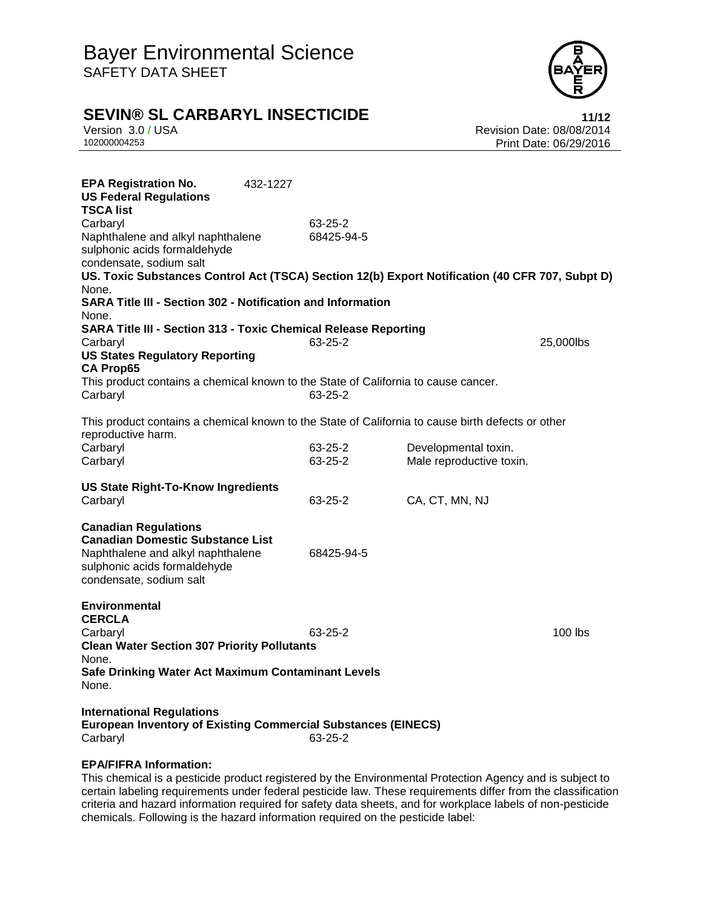

# **SEVIN® SL CARBARYL INSECTICIDE**<br>Version 3.0 / USA **11/12**<br>Revision Date: 08/08/2014

Version 3.0 / USA **Version 3.0 / USA** Revision Date: 08/08/2014<br>102000004253 **Print Date: 06/29/2016** Print Date: 06/29/2016

| <b>EPA Registration No.</b><br><b>US Federal Regulations</b><br>TSCA list                                                                                                       | 432-1227 |               |                          |           |
|---------------------------------------------------------------------------------------------------------------------------------------------------------------------------------|----------|---------------|--------------------------|-----------|
| Carbaryl                                                                                                                                                                        |          | $63 - 25 - 2$ |                          |           |
| Naphthalene and alkyl naphthalene                                                                                                                                               |          | 68425-94-5    |                          |           |
| sulphonic acids formaldehyde                                                                                                                                                    |          |               |                          |           |
| condensate, sodium salt                                                                                                                                                         |          |               |                          |           |
| US. Toxic Substances Control Act (TSCA) Section 12(b) Export Notification (40 CFR 707, Subpt D)                                                                                 |          |               |                          |           |
| None.                                                                                                                                                                           |          |               |                          |           |
| SARA Title III - Section 302 - Notification and Information                                                                                                                     |          |               |                          |           |
| None.                                                                                                                                                                           |          |               |                          |           |
| <b>SARA Title III - Section 313 - Toxic Chemical Release Reporting</b>                                                                                                          |          |               |                          |           |
| Carbaryl                                                                                                                                                                        |          | $63 - 25 - 2$ |                          | 25,000lbs |
| <b>US States Regulatory Reporting</b>                                                                                                                                           |          |               |                          |           |
| <b>CA Prop65</b>                                                                                                                                                                |          |               |                          |           |
| This product contains a chemical known to the State of California to cause cancer.                                                                                              |          |               |                          |           |
| Carbaryl                                                                                                                                                                        |          | 63-25-2       |                          |           |
| This product contains a chemical known to the State of California to cause birth defects or other<br>reproductive harm.                                                         |          |               |                          |           |
| Carbaryl                                                                                                                                                                        |          | 63-25-2       | Developmental toxin.     |           |
| Carbaryl                                                                                                                                                                        |          | $63 - 25 - 2$ | Male reproductive toxin. |           |
| <b>US State Right-To-Know Ingredients</b><br>Carbaryl                                                                                                                           |          | 63-25-2       | CA, CT, MN, NJ           |           |
| <b>Canadian Regulations</b><br><b>Canadian Domestic Substance List</b><br>Naphthalene and alkyl naphthalene<br>sulphonic acids formaldehyde<br>condensate, sodium salt          |          | 68425-94-5    |                          |           |
| <b>Environmental</b><br><b>CERCLA</b><br>Carbaryl<br><b>Clean Water Section 307 Priority Pollutants</b><br>None.<br>Safe Drinking Water Act Maximum Contaminant Levels<br>None. |          | 63-25-2       |                          | $100$ lbs |
| <b>International Regulations</b><br><b>European Inventory of Existing Commercial Substances (EINECS)</b><br>Carbaryl                                                            |          | 63-25-2       |                          |           |

### **EPA/FIFRA Information:**

This chemical is a pesticide product registered by the Environmental Protection Agency and is subject to certain labeling requirements under federal pesticide law. These requirements differ from the classification criteria and hazard information required for safety data sheets, and for workplace labels of non-pesticide chemicals. Following is the hazard information required on the pesticide label: